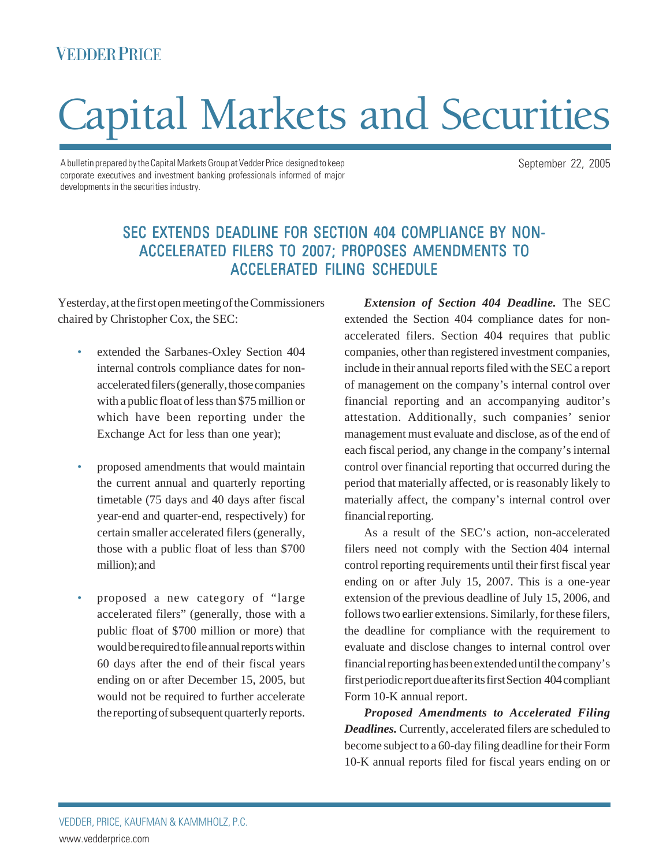## **VEDDER PRICE**

# Capital Markets and Securities

A bulletin prepared by the Capital Markets Group at Vedder Price designed to keep corporate executives and investment banking professionals informed of major developments in the securities industry.

## SEC EXTENDS DEADLINE FOR SECTION 404 COMPLIANCE BY NON-ACCELERATED FILERS TO 2007; PROPOSES AMENDMENTS TO ACCELERATED FILING SCHEDULE

Yesterday, at the first open meeting of the Commissioners chaired by Christopher Cox, the SEC:

- extended the Sarbanes-Oxley Section 404 internal controls compliance dates for nonaccelerated filers (generally, those companies with a public float of less than \$75 million or which have been reporting under the Exchange Act for less than one year);
- proposed amendments that would maintain the current annual and quarterly reporting timetable (75 days and 40 days after fiscal year-end and quarter-end, respectively) for certain smaller accelerated filers (generally, those with a public float of less than \$700 million); and
- proposed a new category of "large accelerated filers" (generally, those with a public float of \$700 million or more) that would be required to file annual reports within 60 days after the end of their fiscal years ending on or after December 15, 2005, but would not be required to further accelerate the reporting of subsequent quarterly reports.

*Extension of Section 404 Deadline.* The SEC extended the Section 404 compliance dates for nonaccelerated filers. Section 404 requires that public companies, other than registered investment companies, include in their annual reports filed with the SEC a report of management on the company's internal control over financial reporting and an accompanying auditor's attestation. Additionally, such companies' senior management must evaluate and disclose, as of the end of each fiscal period, any change in the company's internal control over financial reporting that occurred during the period that materially affected, or is reasonably likely to materially affect, the company's internal control over financial reporting.

As a result of the SEC's action, non-accelerated filers need not comply with the Section 404 internal control reporting requirements until their first fiscal year ending on or after July 15, 2007. This is a one-year extension of the previous deadline of July 15, 2006, and follows two earlier extensions. Similarly, for these filers, the deadline for compliance with the requirement to evaluate and disclose changes to internal control over financial reporting has been extended until the company's first periodic report due after its first Section 404 compliant Form 10-K annual report.

*Proposed Amendments to Accelerated Filing Deadlines.* Currently, accelerated filers are scheduled to become subject to a 60-day filing deadline for their Form 10-K annual reports filed for fiscal years ending on or

September 22, 2005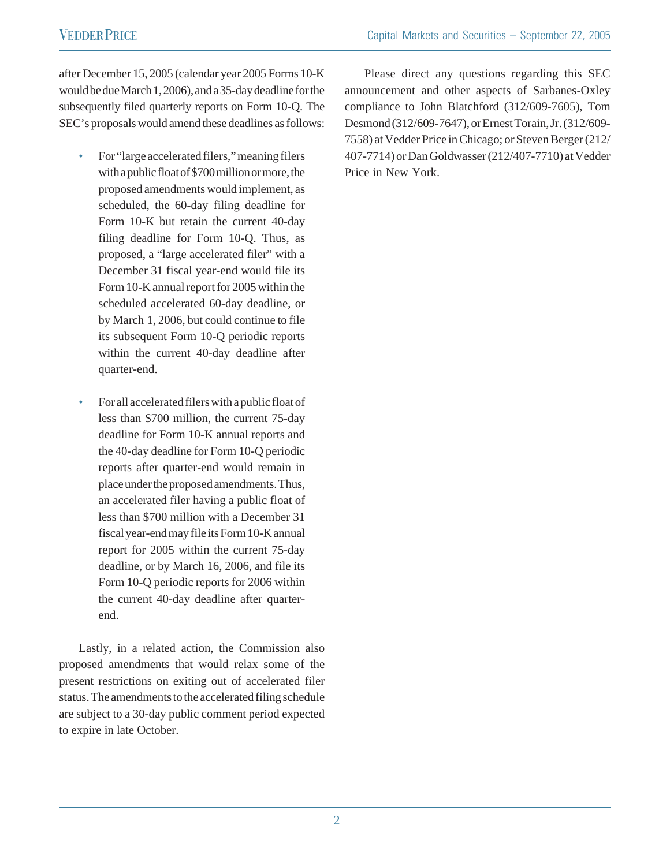after December 15, 2005 (calendar year 2005 Forms 10-K would be due March 1, 2006), and a 35-day deadline for the subsequently filed quarterly reports on Form 10-Q. The SEC's proposals would amend these deadlines as follows:

- For "large accelerated filers," meaning filers with a public float of \$700 million or more, the proposed amendments would implement, as scheduled, the 60-day filing deadline for Form 10-K but retain the current 40-day filing deadline for Form 10-Q. Thus, as proposed, a "large accelerated filer" with a December 31 fiscal year-end would file its Form 10-K annual report for 2005 within the scheduled accelerated 60-day deadline, or by March 1, 2006, but could continue to file its subsequent Form 10-Q periodic reports within the current 40-day deadline after quarter-end.
- For all accelerated filers with a public float of less than \$700 million, the current 75-day deadline for Form 10-K annual reports and the 40-day deadline for Form 10-Q periodic reports after quarter-end would remain in place under the proposed amendments. Thus, an accelerated filer having a public float of less than \$700 million with a December 31 fiscal year-end may file its Form 10-K annual report for 2005 within the current 75-day deadline, or by March 16, 2006, and file its Form 10-Q periodic reports for 2006 within the current 40-day deadline after quarterend.

Lastly, in a related action, the Commission also proposed amendments that would relax some of the present restrictions on exiting out of accelerated filer status. The amendments to the accelerated filing schedule are subject to a 30-day public comment period expected to expire in late October.

Please direct any questions regarding this SEC announcement and other aspects of Sarbanes-Oxley compliance to John Blatchford (312/609-7605), Tom Desmond (312/609-7647), or Ernest Torain, Jr. (312/609- 7558) at Vedder Price in Chicago; or Steven Berger (212/ 407-7714) or Dan Goldwasser (212/407-7710) at Vedder Price in New York.